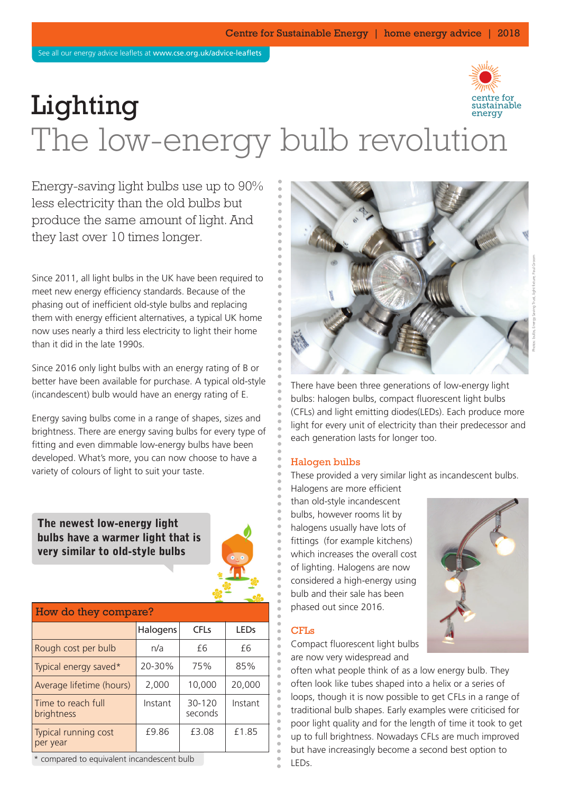

# Lighting The low-energy bulb revolution

Energy-saving light bulbs use up to 90% less electricity than the old bulbs but produce the same amount of light. And they last over 10 times longer.

Since 2011, all light bulbs in the UK have been required to meet new energy efficiency standards. Because of the phasing out of inefficient old-style bulbs and replacing them with energy efficient alternatives, a typical UK home now uses nearly a third less electricity to light their home than it did in the late 1990s.

Since 2016 only light bulbs with an energy rating of B or better have been available for purchase. A typical old-style (incandescent) bulb would have an energy rating of E.

Energy saving bulbs come in a range of shapes, sizes and brightness. There are energy saving bulbs for every type of fitting and even dimmable low-energy bulbs have been developed. What's more, you can now choose to have a variety of colours of light to suit your taste.

**The newest low-energy light bulbs have a warmer light that is very similar to old-style bulbs**



| How do they compare?             |          |                   |         |  |
|----------------------------------|----------|-------------------|---------|--|
|                                  | Halogens | CFLs              | LEDS    |  |
| Rough cost per bulb              | n/a      | fб                | fб      |  |
| Typical energy saved*            | 20-30%   | 75%               | 85%     |  |
| Average lifetime (hours)         | 2,000    | 10,000            | 20,000  |  |
| Time to reach full<br>brightness | Instant  | 30-120<br>seconds | Instant |  |
| Typical running cost<br>per year | £9.86    | £3.08             | £1.85   |  |

\* compared to equivalent incandescent bulb



There have been three generations of low-energy light bulbs: halogen bulbs, compact fluorescent light bulbs (CFLs) and light emitting diodes(LEDs). Each produce more light for every unit of electricity than their predecessor and each generation lasts for longer too.

#### Halogen bulbs

These provided a very similar light as incandescent bulbs.

Halogens are more efficient than old-style incandescent bulbs, however rooms lit by halogens usually have lots of fittings (for example kitchens) which increases the overall cost of lighting. Halogens are now considered a high-energy using bulb and their sale has been phased out since 2016.

#### CFLs

Compact fluorescent light bulbs are now very widespread and



often what people think of as a low energy bulb. They often look like tubes shaped into a helix or a series of loops, though it is now possible to get CFLs in a range of traditional bulb shapes. Early examples were criticised for poor light quality and for the length of time it took to get up to full brightness. Nowadays CFLs are much improved but have increasingly become a second best option to LEDs.